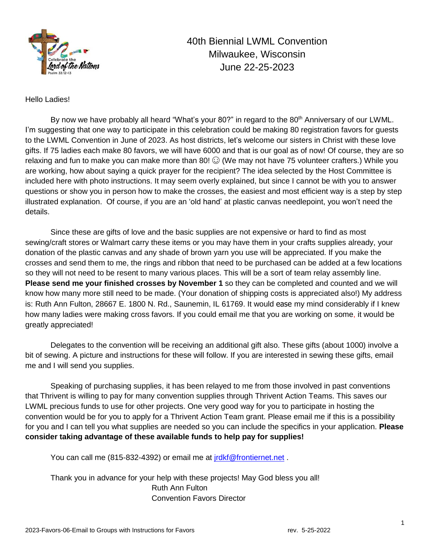

40th Biennial LWML Convention Milwaukee, Wisconsin June 22-25-2023

Hello Ladies!

By now we have probably all heard "What's your 80?" in regard to the 80<sup>th</sup> Anniversary of our LWML. I'm suggesting that one way to participate in this celebration could be making 80 registration favors for guests to the LWML Convention in June of 2023. As host districts, let's welcome our sisters in Christ with these love gifts. If 75 ladies each make 80 favors, we will have 6000 and that is our goal as of now! Of course, they are so relaxing and fun to make you can make more than 80!  $\odot$  (We may not have 75 volunteer crafters.) While you are working, how about saying a quick prayer for the recipient? The idea selected by the Host Committee is included here with photo instructions. It may seem overly explained, but since I cannot be with you to answer questions or show you in person how to make the crosses, the easiest and most efficient way is a step by step illustrated explanation. Of course, if you are an 'old hand' at plastic canvas needlepoint, you won't need the details.

Since these are gifts of love and the basic supplies are not expensive or hard to find as most sewing/craft stores or Walmart carry these items or you may have them in your crafts supplies already, your donation of the plastic canvas and any shade of brown yarn you use will be appreciated. If you make the crosses and send them to me, the rings and ribbon that need to be purchased can be added at a few locations so they will not need to be resent to many various places. This will be a sort of team relay assembly line. **Please send me your finished crosses by November 1** so they can be completed and counted and we will know how many more still need to be made. (Your donation of shipping costs is appreciated also!) My address is: Ruth Ann Fulton, 28667 E. 1800 N. Rd., Saunemin, IL 61769. It would ease my mind considerably if I knew how many ladies were making cross favors. If you could email me that you are working on some, it would be greatly appreciated!

Delegates to the convention will be receiving an additional gift also. These gifts (about 1000) involve a bit of sewing. A picture and instructions for these will follow. If you are interested in sewing these gifts, email me and I will send you supplies.

Speaking of purchasing supplies, it has been relayed to me from those involved in past conventions that Thrivent is willing to pay for many convention supplies through Thrivent Action Teams. This saves our LWML precious funds to use for other projects. One very good way for you to participate in hosting the convention would be for you to apply for a Thrivent Action Team grant. Please email me if this is a possibility for you and I can tell you what supplies are needed so you can include the specifics in your application. **Please consider taking advantage of these available funds to help pay for supplies!**

You can call me (815-832-4392) or email me at [jrdkf@frontiernet.net](mailto:jrdkf@frontiernet.net) .

Thank you in advance for your help with these projects! May God bless you all! Ruth Ann Fulton Convention Favors Director